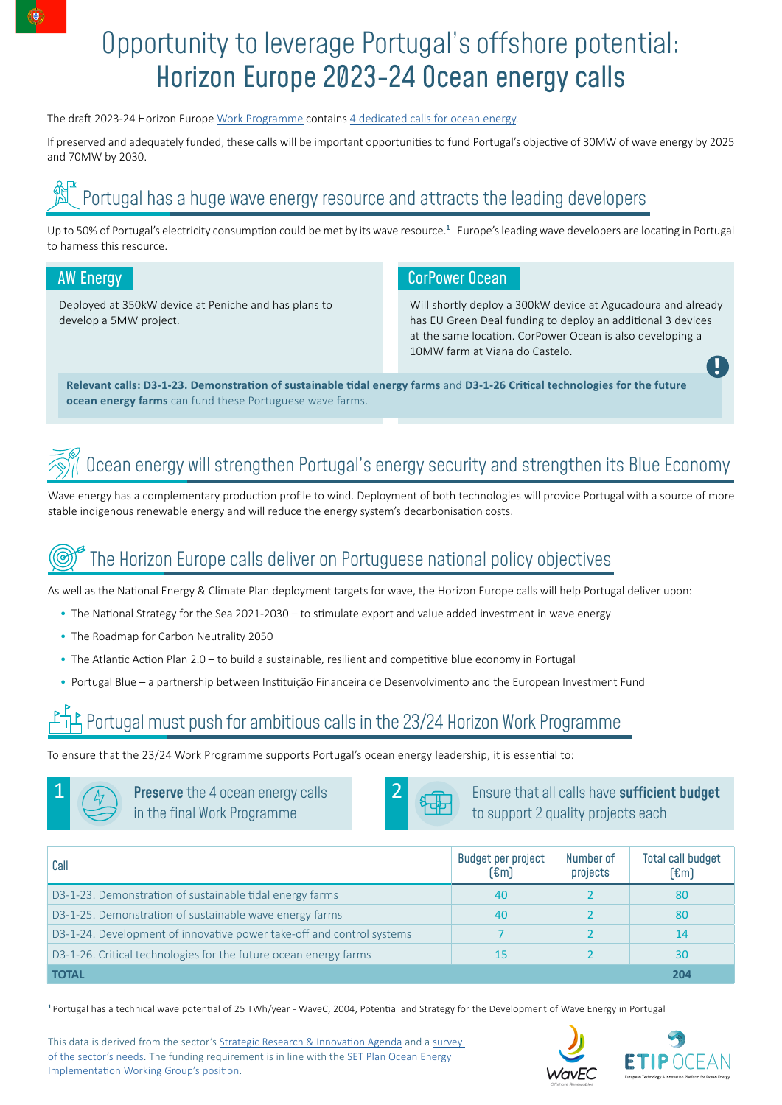# Opportunity to leverage Portugal's offshore potential: Horizon Europe 2023-24 Ocean energy calls

The draft 2023-24 Horizon Europe [Work Programme](https://www.etipocean.eu/wp-content/uploads/2022/04/6.4.2022-HE-cluster-5-WP-2023-2024_2nd-draft.docx) contains [4 dedicated calls for ocean energy](https://www.etipocean.eu/wp-content/uploads/2022/04/Horizon-Europe-Ocean-Energy-calls-2023-2024_2nd-draft.pdf).

If preserved and adequately funded, these calls will be important opportunities to fund Portugal's objective of 30MW of wave energy by 2025 and 70MW by 2030.

## Portugal has a huge wave energy resource and attracts the leading developers

Up to 50% of Portugal's electricity consumption could be met by its wave resource.**<sup>1</sup>** Europe's leading wave developers are locating in Portugal to harness this resource.

Deployed at 350kW device at Peniche and has plans to develop a 5MW project.

## AW Energy Corpower Ocean AW Energy Corpower Ocean

Will shortly deploy a 300kW device at Agucadoura and already has EU Green Deal funding to deploy an additional 3 devices at the same location. CorPower Ocean is also developing a 10MW farm at Viana do Castelo.

**!**

**Relevant calls: D3-1-23. Demonstration of sustainable tidal energy farms** and **D3-1-26 Critical technologies for the future ocean energy farms** can fund these Portuguese wave farms.

# Ocean energy will strengthen Portugal's energy security and strengthen its Blue Economy

Wave energy has a complementary production profile to wind. Deployment of both technologies will provide Portugal with a source of more stable indigenous renewable energy and will reduce the energy system's decarbonisation costs.

## The Horizon Europe calls deliver on Portuguese national policy objectives

As well as the National Energy & Climate Plan deployment targets for wave, the Horizon Europe calls will help Portugal deliver upon:

- The National Strategy for the Sea 2021-2030 to stimulate export and value added investment in wave energy
- The Roadmap for Carbon Neutrality 2050
- The Atlantic Action Plan 2.0 to build a sustainable, resilient and competitive blue economy in Portugal
- Portugal Blue a partnership between Instituição Financeira de Desenvolvimento and the European Investment Fund

## Portugal must push for ambitious calls in the 23/24 Horizon Work Programme

To ensure that the 23/24 Work Programme supports Portugal's ocean energy leadership, it is essential to:

 $\boxed{1}$   $\boxed{4}$  **Preserve** the 4 ocean energy calls **2** in the final Work Programme



Ensure that all calls have sufficient budget to support 2 quality projects each

| Call                                                                  | Budget per project<br>(€m | Number of<br>projects | <b>Total call budget</b><br>$[\mathfrak{m}]$ |
|-----------------------------------------------------------------------|---------------------------|-----------------------|----------------------------------------------|
| D3-1-23. Demonstration of sustainable tidal energy farms              | 40                        |                       | 80                                           |
| D3-1-25. Demonstration of sustainable wave energy farms               | 40                        |                       | -80                                          |
| D3-1-24. Development of innovative power take-off and control systems |                           |                       | 14                                           |
| D3-1-26. Critical technologies for the future ocean energy farms      |                           |                       | 30                                           |
| <b>TOTAL</b>                                                          |                           |                       | 204                                          |

**<sup>1</sup>** Portugal has a technical wave potential of 25 TWh/year - WaveC, 2004, Potential and Strategy for the Development of Wave Energy in Portugal

This data is derived from the sector's [Strategic Research & Innovation Agenda](https://www.etipocean.eu/knowledge_hub/strategic-research-innovation-agenda-for-ocean-energy/) and a [survey](https://www.oceanenergy-europe.eu/wp-content/uploads/2022/02/Annex-Ocean-energy-in-Horizon-Europe-WP-2023-2024.pdf)  [of the sector's needs](https://www.oceanenergy-europe.eu/wp-content/uploads/2022/02/Annex-Ocean-energy-in-Horizon-Europe-WP-2023-2024.pdf). The funding requirement is in line with the [SET Plan Ocean Energy](https://www.etipocean.eu/wp-content/uploads/2022/04/SET-Plan-IWG-for-Ocean-Energy-Position-on-draft-Horizon-Europe-2023-2024-WP-AGREED.pdf)  [Implementation Working Group's position](https://www.etipocean.eu/wp-content/uploads/2022/04/SET-Plan-IWG-for-Ocean-Energy-Position-on-draft-Horizon-Europe-2023-2024-WP-AGREED.pdf).